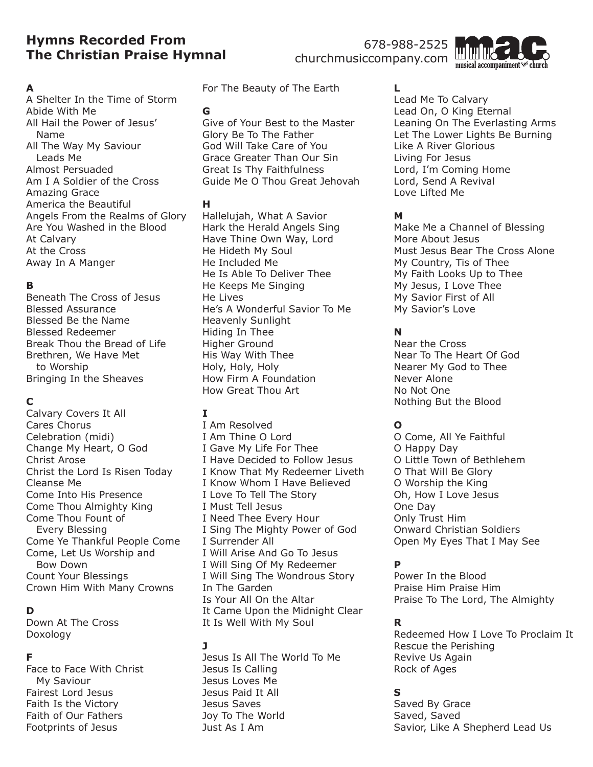# **Hymns Recorded From The Christian Praise Hymnal**

678-988-2525 churchmusiccompany.com



#### **A**

A Shelter In the Time of Storm Abide With Me All Hail the Power of Jesus' Name All The Way My Saviour Leads Me Almost Persuaded Am I A Soldier of the Cross Amazing Grace America the Beautiful Angels From the Realms of Glory Are You Washed in the Blood At Calvary At the Cross Away In A Manger

### **B**

Beneath The Cross of Jesus Blessed Assurance Blessed Be the Name Blessed Redeemer Break Thou the Bread of Life Brethren, We Have Met to Worship Bringing In the Sheaves

# **C**

Calvary Covers It All Cares Chorus Celebration (midi) Change My Heart, O God Christ Arose Christ the Lord Is Risen Today Cleanse Me Come Into His Presence Come Thou Almighty King Come Thou Fount of Every Blessing Come Ye Thankful People Come Come, Let Us Worship and Bow Down Count Your Blessings Crown Him With Many Crowns

#### **D**

Down At The Cross Doxology

#### **F**

Face to Face With Christ My Saviour Fairest Lord Jesus Faith Is the Victory Faith of Our Fathers Footprints of Jesus

For The Beauty of The Earth

#### **G**

Give of Your Best to the Master Glory Be To The Father God Will Take Care of You Grace Greater Than Our Sin Great Is Thy Faithfulness Guide Me O Thou Great Jehovah

### **H**

Hallelujah, What A Savior Hark the Herald Angels Sing Have Thine Own Way, Lord He Hideth My Soul He Included Me He Is Able To Deliver Thee He Keeps Me Singing He Lives He's A Wonderful Savior To Me Heavenly Sunlight Hiding In Thee Higher Ground His Way With Thee Holy, Holy, Holy How Firm A Foundation How Great Thou Art

# **I**

I Am Resolved I Am Thine O Lord I Gave My Life For Thee I Have Decided to Follow Jesus I Know That My Redeemer Liveth I Know Whom I Have Believed I Love To Tell The Story I Must Tell Jesus I Need Thee Every Hour I Sing The Mighty Power of God I Surrender All I Will Arise And Go To Jesus I Will Sing Of My Redeemer I Will Sing The Wondrous Story In The Garden Is Your All On the Altar It Came Upon the Midnight Clear It Is Well With My Soul

# **J**

Jesus Is All The World To Me Jesus Is Calling Jesus Loves Me Jesus Paid It All Jesus Saves Joy To The World Just As I Am

# **L**

Lead Me To Calvary Lead On, O King Eternal Leaning On The Everlasting Arms Let The Lower Lights Be Burning Like A River Glorious Living For Jesus Lord, I'm Coming Home Lord, Send A Revival Love Lifted Me

#### **M**

Make Me a Channel of Blessing More About Jesus Must Jesus Bear The Cross Alone My Country, Tis of Thee My Faith Looks Up to Thee My Jesus, I Love Thee My Savior First of All My Savior's Love

# **N**

Near the Cross Near To The Heart Of God Nearer My God to Thee Never Alone No Not One Nothing But the Blood

# **O**

O Come, All Ye Faithful O Happy Day O Little Town of Bethlehem O That Will Be Glory O Worship the King Oh, How I Love Jesus One Day Only Trust Him Onward Christian Soldiers Open My Eyes That I May See

# **P**

Power In the Blood Praise Him Praise Him Praise To The Lord, The Almighty

# **R**

Redeemed How I Love To Proclaim It Rescue the Perishing Revive Us Again Rock of Ages

# **S**

Saved By Grace Saved, Saved Savior, Like A Shepherd Lead Us